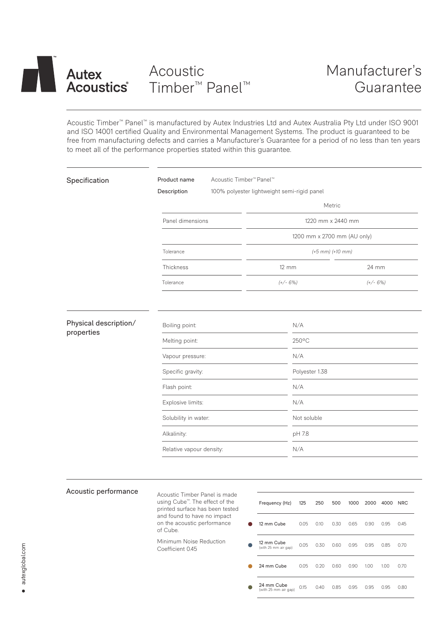

# Acoustic Timber™ Panel™

Acoustic Timber™ Panel™ is manufactured by Autex Industries Ltd and Autex Australia Pty Ltd under ISO 9001 and ISO 14001 certified Quality and Environmental Management Systems. The product is guaranteed to be free from manufacturing defects and carries a Manufacturer's Guarantee for a period of no less than ten years to meet all of the performance properties stated within this guarantee.

| Specification                       | Acoustic Timber <sup>™</sup> Panel™<br>Product name<br>Description<br>100% polyester lightweight semi-rigid panel                                                                         |                                    |                                 |                |                   |                     |      |      |            |  |
|-------------------------------------|-------------------------------------------------------------------------------------------------------------------------------------------------------------------------------------------|------------------------------------|---------------------------------|----------------|-------------------|---------------------|------|------|------------|--|
|                                     |                                                                                                                                                                                           | Metric                             |                                 |                |                   |                     |      |      |            |  |
|                                     | Panel dimensions                                                                                                                                                                          |                                    |                                 |                | 1220 mm x 2440 mm |                     |      |      |            |  |
|                                     |                                                                                                                                                                                           |                                    | 1200 mm x 2700 mm (AU only)     |                |                   |                     |      |      |            |  |
|                                     | Tolerance                                                                                                                                                                                 | $(+5$ mm) $(+10$ mm)               |                                 |                |                   |                     |      |      |            |  |
|                                     | Thickness                                                                                                                                                                                 |                                    | $12 \, \text{mm}$<br>$(+/- 6%)$ |                |                   | 24 mm<br>$(+/- 6%)$ |      |      |            |  |
|                                     | Tolerance                                                                                                                                                                                 |                                    |                                 |                |                   |                     |      |      |            |  |
| Physical description/<br>properties | Boiling point:                                                                                                                                                                            |                                    | N/A                             |                |                   |                     |      |      |            |  |
|                                     | Melting point:                                                                                                                                                                            |                                    | 250°C                           |                |                   |                     |      |      |            |  |
|                                     | Vapour pressure:                                                                                                                                                                          |                                    |                                 | N/A            |                   |                     |      |      |            |  |
|                                     | Specific gravity:                                                                                                                                                                         |                                    |                                 | Polyester 1.38 |                   |                     |      |      |            |  |
|                                     | Flash point:                                                                                                                                                                              | N/A                                |                                 |                |                   |                     |      |      |            |  |
|                                     | Explosive limits:                                                                                                                                                                         |                                    |                                 | N/A            |                   |                     |      |      |            |  |
|                                     | Solubility in water:                                                                                                                                                                      |                                    | Not soluble                     |                |                   |                     |      |      |            |  |
|                                     | Alkalinity:                                                                                                                                                                               |                                    |                                 | pH 7.8         |                   |                     |      |      |            |  |
|                                     | Relative vapour density:                                                                                                                                                                  |                                    | N/A                             |                |                   |                     |      |      |            |  |
|                                     |                                                                                                                                                                                           |                                    |                                 |                |                   |                     |      |      |            |  |
| Acoustic performance                | Acoustic Timber Panel is made<br>using Cube <sup>™</sup> . The effect of the<br>printed surface has been tested<br>and found to have no impact<br>on the acoustic performance<br>of Cube. | Frequency (Hz)                     | 125                             | 250            | 500               | 1000                | 2000 | 4000 | <b>NRC</b> |  |
|                                     |                                                                                                                                                                                           | 12 mm Cube                         | 0.05                            | 0.10           | 0.30              | 0.65                | 0.90 | 0.95 | 0.45       |  |
|                                     | Minimum Noise Reduction<br>Coefficient 0.45                                                                                                                                               | 12 mm Cube<br>(with 25 mm air gap) | 0.05                            | 0.30           | 0.60              | 0.95                | 0.95 | 0.85 | 0.70       |  |
|                                     |                                                                                                                                                                                           | 24 mm Cube                         | 0.05                            |                | 0.20 0.60         | 0.90 1.00           |      | 1.00 | 0.70       |  |

24 mm  $Cube (with 25 mm air gap)$ 

(with 25 mm air gap) 0.15 0.40 0.85 0.95 0.95 0.95 0.80